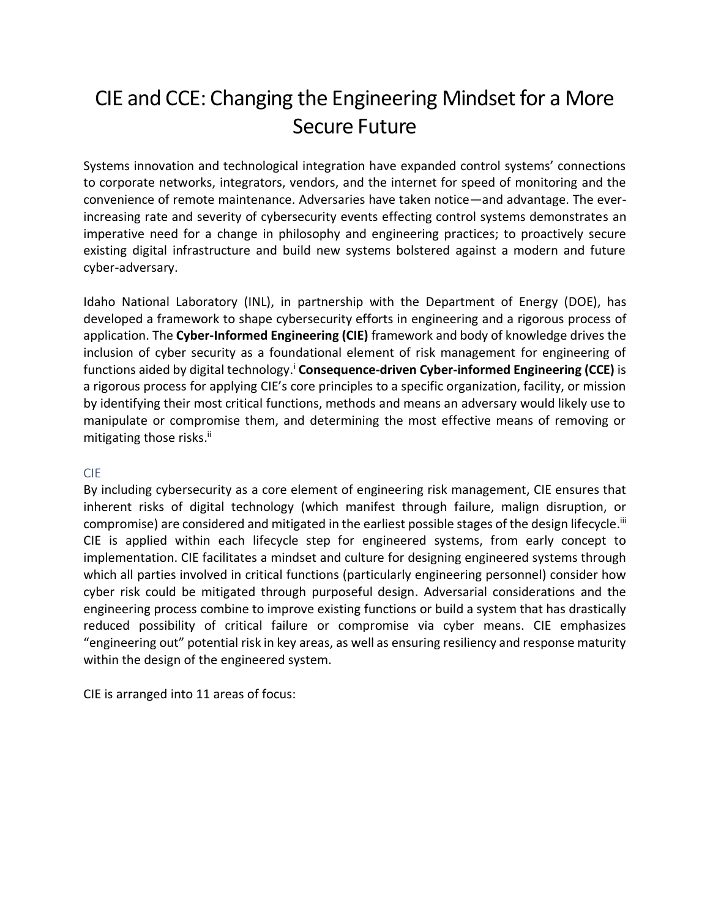## CIE and CCE: Changing the Engineering Mindset for a More Secure Future

Systems innovation and technological integration have expanded control systems' connections to corporate networks, integrators, vendors, and the internet for speed of monitoring and the convenience of remote maintenance. Adversaries have taken notice—and advantage. The everincreasing rate and severity of cybersecurity events effecting control systems demonstrates an imperative need for a change in philosophy and engineering practices; to proactively secure existing digital infrastructure and build new systems bolstered against a modern and future cyber-adversary.

Idaho National Laboratory (INL), in partnership with the Department of Energy (DOE), has developed a framework to shape cybersecurity efforts in engineering and a rigorous process of application. The **Cyber-Informed Engineering (CIE)** framework and body of knowledge drives the inclusion of cyber security as a foundational element of risk management for engineering of functions aided by digital technology.<sup>i</sup> Consequence-driven Cyber-informed Engineering (CCE) is a rigorous process for applying CIE's core principles to a specific organization, facility, or mission by identifying their most critical functions, methods and means an adversary would likely use to manipulate or compromise them, and determining the most effective means of removing or mitigating those risks.<sup>ii</sup>

## CIE

By including cybersecurity as a core element of engineering risk management, CIE ensures that inherent risks of digital technology (which manifest through failure, malign disruption, or compromise) are considered and mitigated in the earliest possible stages of the design lifecycle.<sup>iii</sup> CIE is applied within each lifecycle step for engineered systems, from early concept to implementation. CIE facilitates a mindset and culture for designing engineered systems through which all parties involved in critical functions (particularly engineering personnel) consider how cyber risk could be mitigated through purposeful design. Adversarial considerations and the engineering process combine to improve existing functions or build a system that has drastically reduced possibility of critical failure or compromise via cyber means. CIE emphasizes "engineering out" potential risk in key areas, as well as ensuring resiliency and response maturity within the design of the engineered system.

CIE is arranged into 11 areas of focus: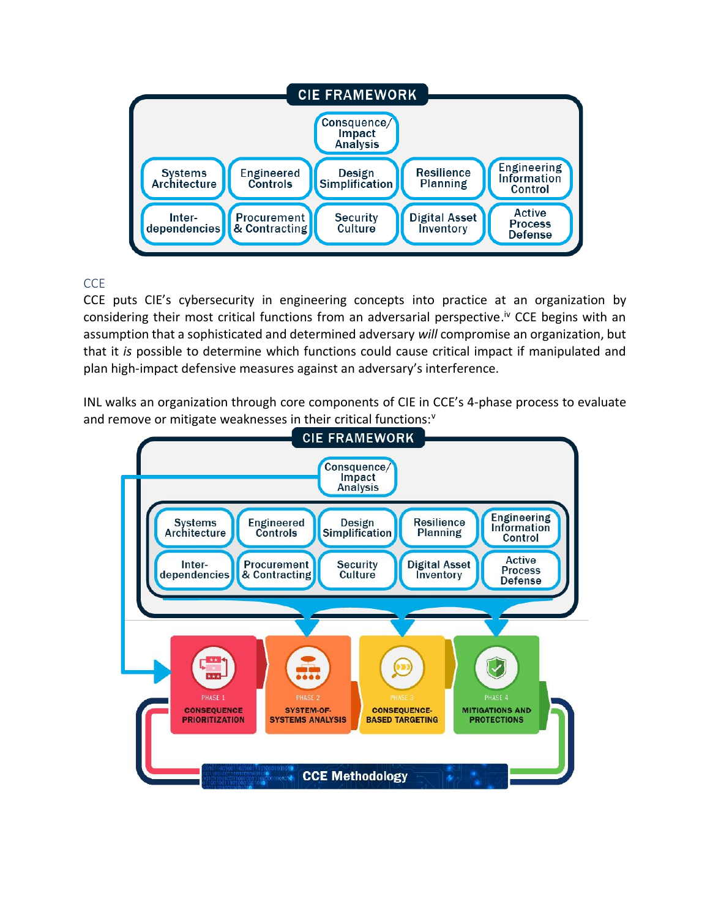

## **CCE**

CCE puts CIE's cybersecurity in engineering concepts into practice at an organization by considering their most critical functions from an adversarial perspective.<sup>iv</sup> CCE begins with an assumption that a sophisticated and determined adversary *will* compromise an organization, but that it *is* possible to determine which functions could cause critical impact if manipulated and plan high-impact defensive measures against an adversary's interference.

INL walks an organization through core components of CIE in CCE's 4-phase process to evaluate and remove or mitigate weaknesses in their critical functions:<sup>v</sup>